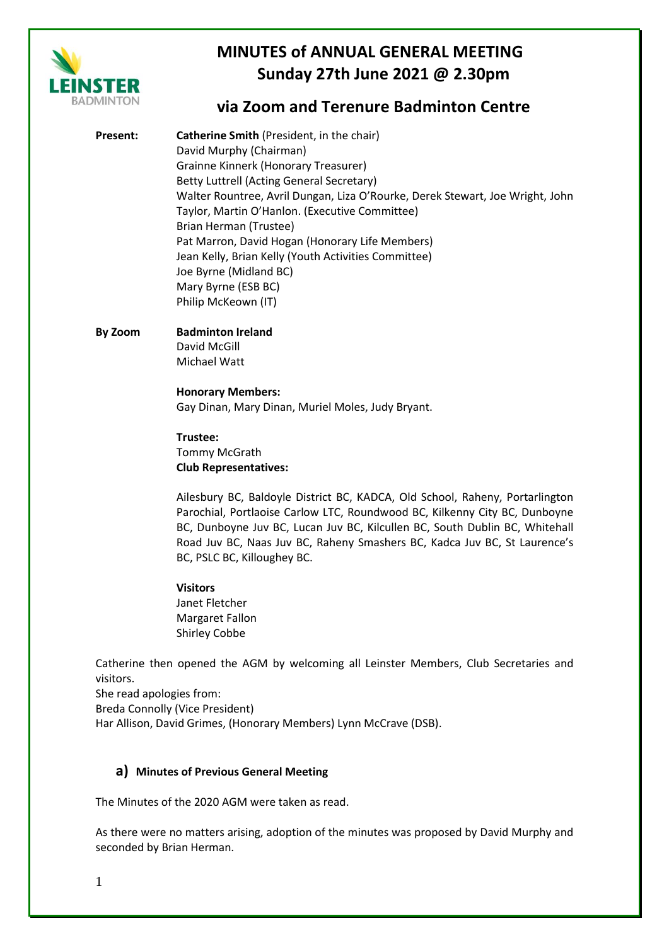

# **via Zoom and Terenure Badminton Centre**

- **Present: Catherine Smith** (President, in the chair) David Murphy (Chairman) Grainne Kinnerk (Honorary Treasurer) Betty Luttrell (Acting General Secretary) Walter Rountree, Avril Dungan, Liza O'Rourke, Derek Stewart, Joe Wright, John Taylor, Martin O'Hanlon. (Executive Committee) Brian Herman (Trustee) Pat Marron, David Hogan (Honorary Life Members) Jean Kelly, Brian Kelly (Youth Activities Committee) Joe Byrne (Midland BC) Mary Byrne (ESB BC) Philip McKeown (IT)
- **By Zoom Badminton Ireland** David McGill Michael Watt

## **Honorary Members:** Gay Dinan, Mary Dinan, Muriel Moles, Judy Bryant.

**Trustee:** Tommy McGrath **Club Representatives:**

Ailesbury BC, Baldoyle District BC, KADCA, Old School, Raheny, Portarlington Parochial, Portlaoise Carlow LTC, Roundwood BC, Kilkenny City BC, Dunboyne BC, Dunboyne Juv BC, Lucan Juv BC, Kilcullen BC, South Dublin BC, Whitehall Road Juv BC, Naas Juv BC, Raheny Smashers BC, Kadca Juv BC, St Laurence's BC, PSLC BC, Killoughey BC.

#### **Visitors**

Janet Fletcher Margaret Fallon Shirley Cobbe

Catherine then opened the AGM by welcoming all Leinster Members, Club Secretaries and visitors.

She read apologies from:

Breda Connolly (Vice President)

Har Allison, David Grimes, (Honorary Members) Lynn McCrave (DSB).

### **a) Minutes of Previous General Meeting**

The Minutes of the 2020 AGM were taken as read.

As there were no matters arising, adoption of the minutes was proposed by David Murphy and seconded by Brian Herman.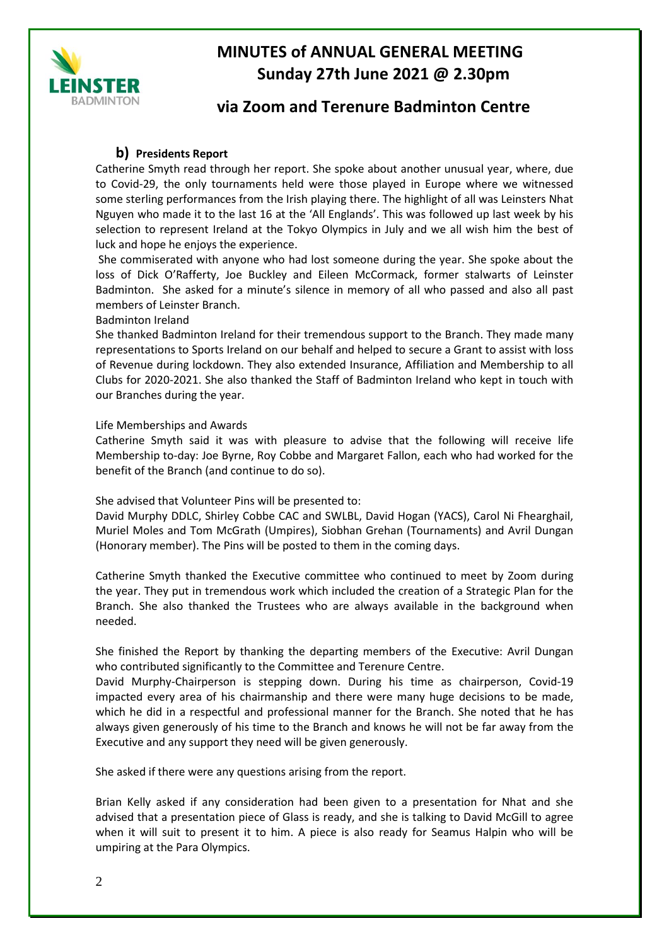

## **via Zoom and Terenure Badminton Centre**

### **b) Presidents Report**

Catherine Smyth read through her report. She spoke about another unusual year, where, due to Covid-29, the only tournaments held were those played in Europe where we witnessed some sterling performances from the Irish playing there. The highlight of all was Leinsters Nhat Nguyen who made it to the last 16 at the 'All Englands'. This was followed up last week by his selection to represent Ireland at the Tokyo Olympics in July and we all wish him the best of luck and hope he enjoys the experience.

She commiserated with anyone who had lost someone during the year. She spoke about the loss of Dick O'Rafferty, Joe Buckley and Eileen McCormack, former stalwarts of Leinster Badminton. She asked for a minute's silence in memory of all who passed and also all past members of Leinster Branch.

#### Badminton Ireland

She thanked Badminton Ireland for their tremendous support to the Branch. They made many representations to Sports Ireland on our behalf and helped to secure a Grant to assist with loss of Revenue during lockdown. They also extended Insurance, Affiliation and Membership to all Clubs for 2020-2021. She also thanked the Staff of Badminton Ireland who kept in touch with our Branches during the year.

#### Life Memberships and Awards

Catherine Smyth said it was with pleasure to advise that the following will receive life Membership to-day: Joe Byrne, Roy Cobbe and Margaret Fallon, each who had worked for the benefit of the Branch (and continue to do so).

She advised that Volunteer Pins will be presented to:

David Murphy DDLC, Shirley Cobbe CAC and SWLBL, David Hogan (YACS), Carol Ni Fhearghail, Muriel Moles and Tom McGrath (Umpires), Siobhan Grehan (Tournaments) and Avril Dungan (Honorary member). The Pins will be posted to them in the coming days.

Catherine Smyth thanked the Executive committee who continued to meet by Zoom during the year. They put in tremendous work which included the creation of a Strategic Plan for the Branch. She also thanked the Trustees who are always available in the background when needed.

She finished the Report by thanking the departing members of the Executive: Avril Dungan who contributed significantly to the Committee and Terenure Centre.

David Murphy-Chairperson is stepping down. During his time as chairperson, Covid-19 impacted every area of his chairmanship and there were many huge decisions to be made, which he did in a respectful and professional manner for the Branch. She noted that he has always given generously of his time to the Branch and knows he will not be far away from the Executive and any support they need will be given generously.

She asked if there were any questions arising from the report.

Brian Kelly asked if any consideration had been given to a presentation for Nhat and she advised that a presentation piece of Glass is ready, and she is talking to David McGill to agree when it will suit to present it to him. A piece is also ready for Seamus Halpin who will be umpiring at the Para Olympics.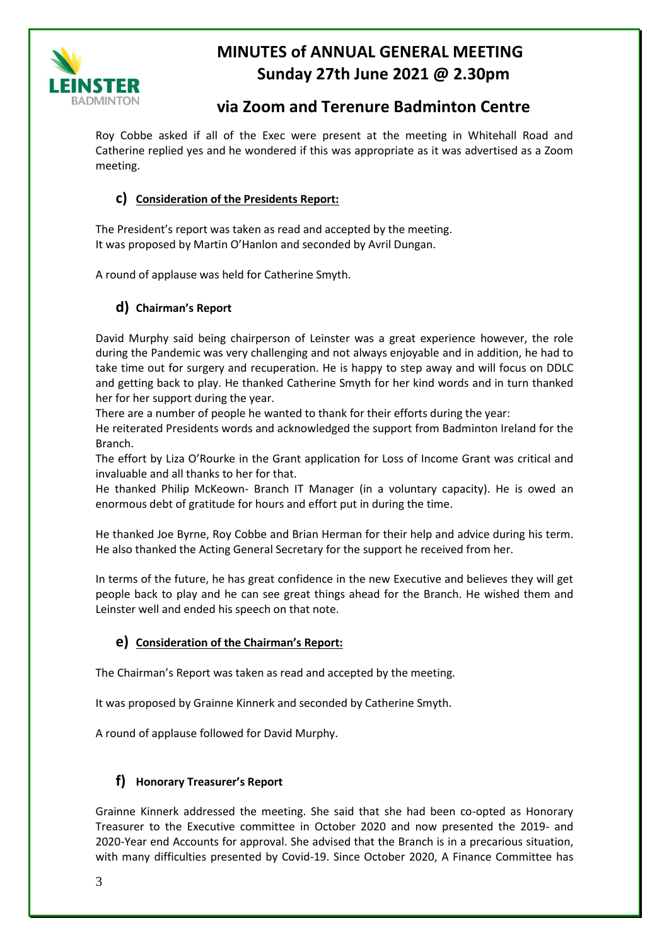

# **via Zoom and Terenure Badminton Centre**

Roy Cobbe asked if all of the Exec were present at the meeting in Whitehall Road and Catherine replied yes and he wondered if this was appropriate as it was advertised as a Zoom meeting.

### **c) Consideration of the Presidents Report:**

The President's report was taken as read and accepted by the meeting. It was proposed by Martin O'Hanlon and seconded by Avril Dungan.

A round of applause was held for Catherine Smyth.

## **d) Chairman's Report**

David Murphy said being chairperson of Leinster was a great experience however, the role during the Pandemic was very challenging and not always enjoyable and in addition, he had to take time out for surgery and recuperation. He is happy to step away and will focus on DDLC and getting back to play. He thanked Catherine Smyth for her kind words and in turn thanked her for her support during the year.

There are a number of people he wanted to thank for their efforts during the year:

He reiterated Presidents words and acknowledged the support from Badminton Ireland for the Branch.

The effort by Liza O'Rourke in the Grant application for Loss of Income Grant was critical and invaluable and all thanks to her for that.

He thanked Philip McKeown- Branch IT Manager (in a voluntary capacity). He is owed an enormous debt of gratitude for hours and effort put in during the time.

He thanked Joe Byrne, Roy Cobbe and Brian Herman for their help and advice during his term. He also thanked the Acting General Secretary for the support he received from her.

In terms of the future, he has great confidence in the new Executive and believes they will get people back to play and he can see great things ahead for the Branch. He wished them and Leinster well and ended his speech on that note.

### **e) Consideration of the Chairman's Report:**

The Chairman's Report was taken as read and accepted by the meeting.

It was proposed by Grainne Kinnerk and seconded by Catherine Smyth.

A round of applause followed for David Murphy.

### **f) Honorary Treasurer's Report**

Grainne Kinnerk addressed the meeting. She said that she had been co-opted as Honorary Treasurer to the Executive committee in October 2020 and now presented the 2019- and 2020-Year end Accounts for approval. She advised that the Branch is in a precarious situation, with many difficulties presented by Covid-19. Since October 2020, A Finance Committee has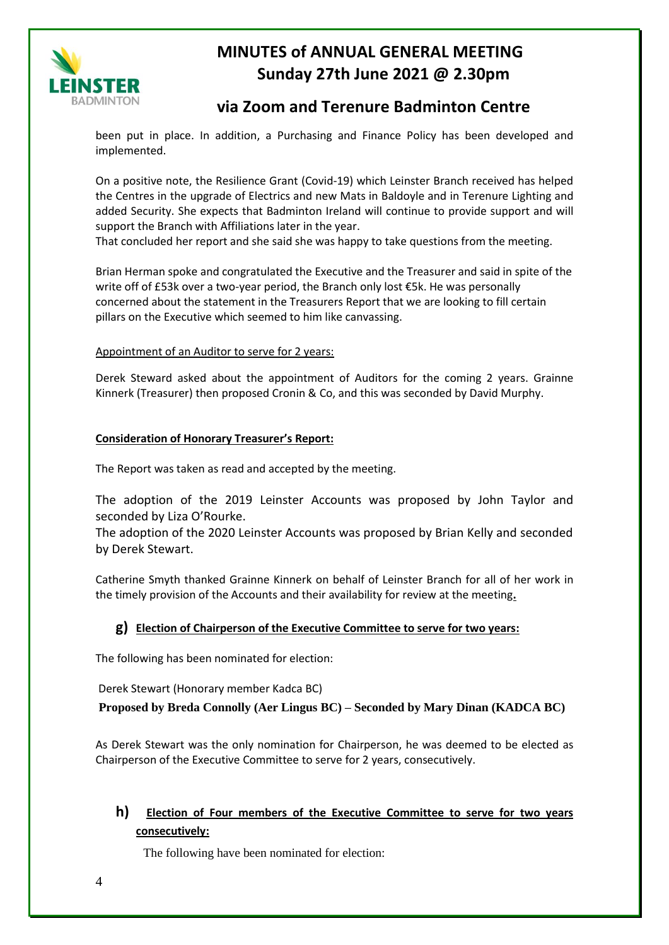

# **via Zoom and Terenure Badminton Centre**

been put in place. In addition, a Purchasing and Finance Policy has been developed and implemented.

On a positive note, the Resilience Grant (Covid-19) which Leinster Branch received has helped the Centres in the upgrade of Electrics and new Mats in Baldoyle and in Terenure Lighting and added Security. She expects that Badminton Ireland will continue to provide support and will support the Branch with Affiliations later in the year.

That concluded her report and she said she was happy to take questions from the meeting.

Brian Herman spoke and congratulated the Executive and the Treasurer and said in spite of the write off of £53k over a two-year period, the Branch only lost €5k. He was personally concerned about the statement in the Treasurers Report that we are looking to fill certain pillars on the Executive which seemed to him like canvassing.

#### Appointment of an Auditor to serve for 2 years:

Derek Steward asked about the appointment of Auditors for the coming 2 years. Grainne Kinnerk (Treasurer) then proposed Cronin & Co, and this was seconded by David Murphy.

#### **Consideration of Honorary Treasurer's Report:**

The Report was taken as read and accepted by the meeting.

The adoption of the 2019 Leinster Accounts was proposed by John Taylor and seconded by Liza O'Rourke.

The adoption of the 2020 Leinster Accounts was proposed by Brian Kelly and seconded by Derek Stewart.

Catherine Smyth thanked Grainne Kinnerk on behalf of Leinster Branch for all of her work in the timely provision of the Accounts and their availability for review at the meeting**.**

#### **g) Election of Chairperson of the Executive Committee to serve for two years:**

The following has been nominated for election:

Derek Stewart (Honorary member Kadca BC)

**Proposed by Breda Connolly (Aer Lingus BC) – Seconded by Mary Dinan (KADCA BC)**

As Derek Stewart was the only nomination for Chairperson, he was deemed to be elected as Chairperson of the Executive Committee to serve for 2 years, consecutively.

### **h) Election of Four members of the Executive Committee to serve for two years consecutively:**

The following have been nominated for election: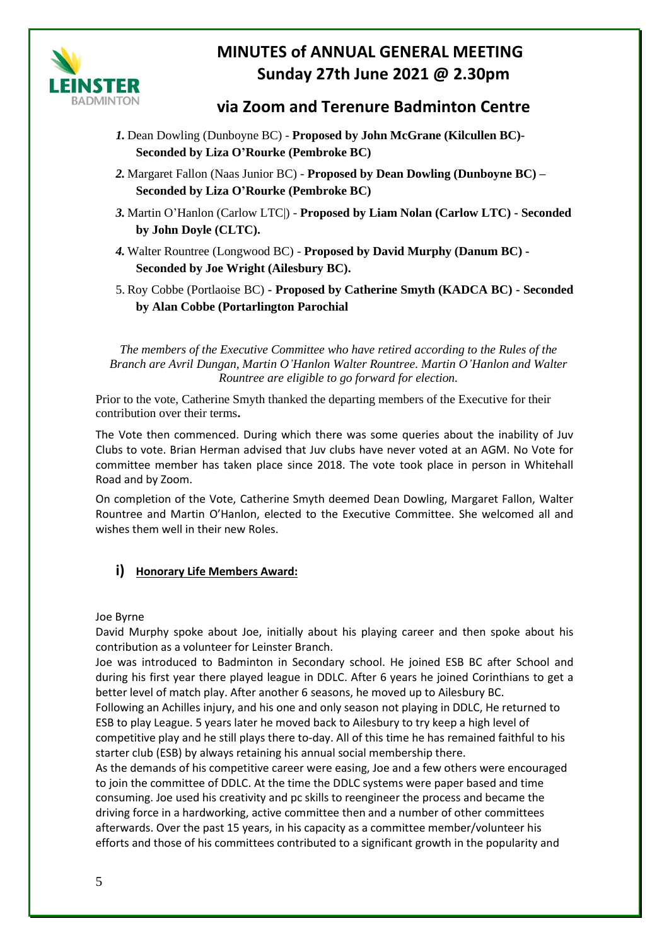

## **via Zoom and Terenure Badminton Centre**

- *1.* Dean Dowling (Dunboyne BC) **Proposed by John McGrane (Kilcullen BC)- Seconded by Liza O'Rourke (Pembroke BC)**
- *2.* Margaret Fallon (Naas Junior BC) **Proposed by Dean Dowling (Dunboyne BC) – Seconded by Liza O'Rourke (Pembroke BC)**
- *3.* Martin O'Hanlon (Carlow LTC|) **Proposed by Liam Nolan (Carlow LTC) - Seconded by John Doyle (CLTC).**
- *4.* Walter Rountree (Longwood BC) **Proposed by David Murphy (Danum BC) - Seconded by Joe Wright (Ailesbury BC).**
- 5. Roy Cobbe (Portlaoise BC) **- Proposed by Catherine Smyth (KADCA BC) - Seconded by Alan Cobbe (Portarlington Parochial**

*The members of the Executive Committee who have retired according to the Rules of the Branch are Avril Dungan, Martin O'Hanlon Walter Rountree. Martin O'Hanlon and Walter Rountree are eligible to go forward for election.*

Prior to the vote, Catherine Smyth thanked the departing members of the Executive for their contribution over their terms**.**

The Vote then commenced. During which there was some queries about the inability of Juv Clubs to vote. Brian Herman advised that Juv clubs have never voted at an AGM. No Vote for committee member has taken place since 2018. The vote took place in person in Whitehall Road and by Zoom.

On completion of the Vote, Catherine Smyth deemed Dean Dowling, Margaret Fallon, Walter Rountree and Martin O'Hanlon, elected to the Executive Committee. She welcomed all and wishes them well in their new Roles.

## **i) Honorary Life Members Award:**

#### Joe Byrne

David Murphy spoke about Joe, initially about his playing career and then spoke about his contribution as a volunteer for Leinster Branch.

Joe was introduced to Badminton in Secondary school. He joined ESB BC after School and during his first year there played league in DDLC. After 6 years he joined Corinthians to get a better level of match play. After another 6 seasons, he moved up to Ailesbury BC.

Following an Achilles injury, and his one and only season not playing in DDLC, He returned to ESB to play League. 5 years later he moved back to Ailesbury to try keep a high level of competitive play and he still plays there to-day. All of this time he has remained faithful to his starter club (ESB) by always retaining his annual social membership there.

As the demands of his competitive career were easing, Joe and a few others were encouraged to join the committee of DDLC. At the time the DDLC systems were paper based and time consuming. Joe used his creativity and pc skills to reengineer the process and became the driving force in a hardworking, active committee then and a number of other committees afterwards. Over the past 15 years, in his capacity as a committee member/volunteer his efforts and those of his committees contributed to a significant growth in the popularity and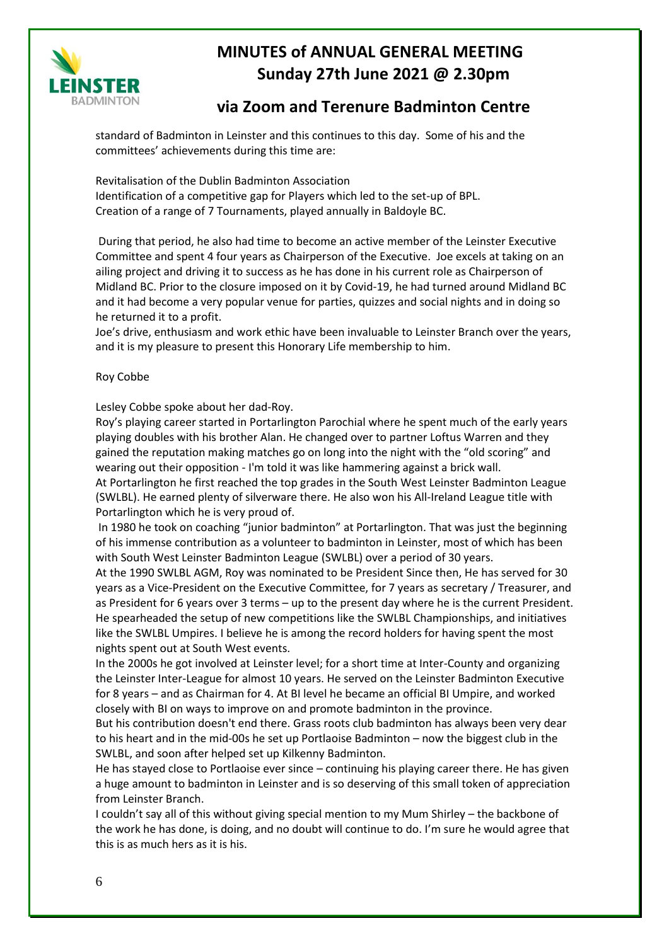

# **via Zoom and Terenure Badminton Centre**

standard of Badminton in Leinster and this continues to this day. Some of his and the committees' achievements during this time are:

Revitalisation of the Dublin Badminton Association Identification of a competitive gap for Players which led to the set-up of BPL. Creation of a range of 7 Tournaments, played annually in Baldoyle BC.

During that period, he also had time to become an active member of the Leinster Executive Committee and spent 4 four years as Chairperson of the Executive. Joe excels at taking on an ailing project and driving it to success as he has done in his current role as Chairperson of Midland BC. Prior to the closure imposed on it by Covid-19, he had turned around Midland BC and it had become a very popular venue for parties, quizzes and social nights and in doing so he returned it to a profit.

Joe's drive, enthusiasm and work ethic have been invaluable to Leinster Branch over the years, and it is my pleasure to present this Honorary Life membership to him.

#### Roy Cobbe

Lesley Cobbe spoke about her dad-Roy.

Roy's playing career started in Portarlington Parochial where he spent much of the early years playing doubles with his brother Alan. He changed over to partner Loftus Warren and they gained the reputation making matches go on long into the night with the "old scoring" and wearing out their opposition - I'm told it was like hammering against a brick wall. At Portarlington he first reached the top grades in the South West Leinster Badminton League

(SWLBL). He earned plenty of silverware there. He also won his All-Ireland League title with Portarlington which he is very proud of.

In 1980 he took on coaching "junior badminton" at Portarlington. That was just the beginning of his immense contribution as a volunteer to badminton in Leinster, most of which has been with South West Leinster Badminton League (SWLBL) over a period of 30 years.

At the 1990 SWLBL AGM, Roy was nominated to be President Since then, He has served for 30 years as a Vice-President on the Executive Committee, for 7 years as secretary / Treasurer, and as President for 6 years over 3 terms – up to the present day where he is the current President. He spearheaded the setup of new competitions like the SWLBL Championships, and initiatives like the SWLBL Umpires. I believe he is among the record holders for having spent the most nights spent out at South West events.

In the 2000s he got involved at Leinster level; for a short time at Inter-County and organizing the Leinster Inter-League for almost 10 years. He served on the Leinster Badminton Executive for 8 years – and as Chairman for 4. At BI level he became an official BI Umpire, and worked closely with BI on ways to improve on and promote badminton in the province.

But his contribution doesn't end there. Grass roots club badminton has always been very dear to his heart and in the mid-00s he set up Portlaoise Badminton – now the biggest club in the SWLBL, and soon after helped set up Kilkenny Badminton.

He has stayed close to Portlaoise ever since – continuing his playing career there. He has given a huge amount to badminton in Leinster and is so deserving of this small token of appreciation from Leinster Branch.

I couldn't say all of this without giving special mention to my Mum Shirley – the backbone of the work he has done, is doing, and no doubt will continue to do. I'm sure he would agree that this is as much hers as it is his.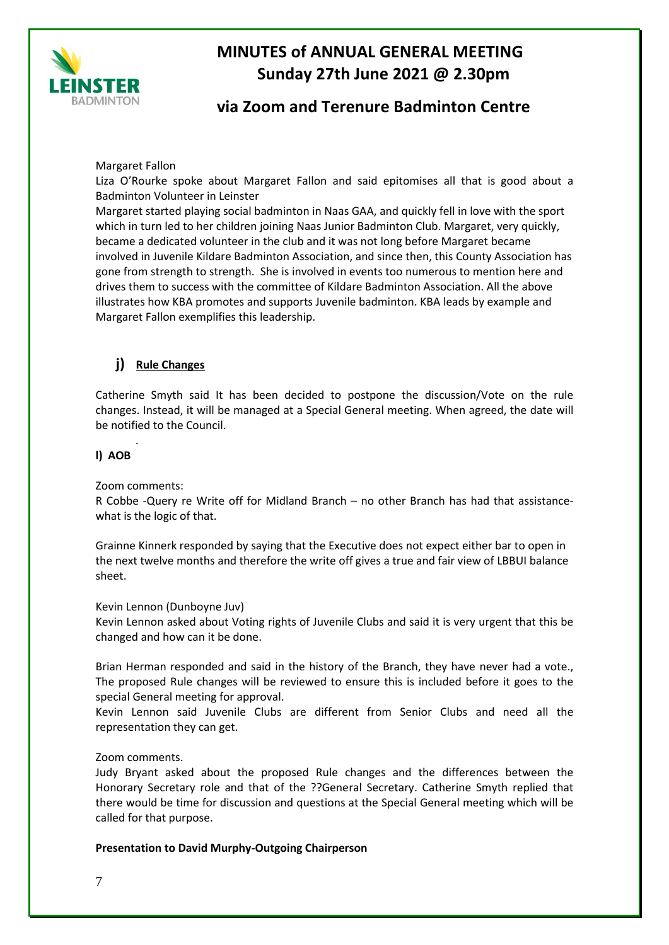

## **via Zoom and Terenure Badminton Centre**

Margaret Fallon

Liza O'Rourke spoke about Margaret Fallon and said epitomises all that is good about a Badminton Volunteer in Leinster

Margaret started playing social badminton in Naas GAA, and quickly fell in love with the sport which in turn led to her children joining Naas Junior Badminton Club. Margaret, very quickly, became a dedicated volunteer in the club and it was not long before Margaret became involved in Juvenile Kildare Badminton Association, and since then, this County Association has gone from strength to strength. She is involved in events too numerous to mention here and drives them to success with the committee of Kildare Badminton Association. All the above illustrates how KBA promotes and supports Juvenile badminton. KBA leads by example and Margaret Fallon exemplifies this leadership.

### **j) Rule Changes**

Catherine Smyth said It has been decided to postpone the discussion/Vote on the rule changes. Instead, it will be managed at a Special General meeting. When agreed, the date will be notified to the Council.

#### **l) AOB**

Zoom comments:

*.* 

R Cobbe -Query re Write off for Midland Branch – no other Branch has had that assistancewhat is the logic of that.

Grainne Kinnerk responded by saying that the Executive does not expect either bar to open in the next twelve months and therefore the write off gives a true and fair view of LBBUI balance sheet.

Kevin Lennon (Dunboyne Juv)

Kevin Lennon asked about Voting rights of Juvenile Clubs and said it is very urgent that this be changed and how can it be done.

Brian Herman responded and said in the history of the Branch, they have never had a vote., The proposed Rule changes will be reviewed to ensure this is included before it goes to the special General meeting for approval.

Kevin Lennon said Juvenile Clubs are different from Senior Clubs and need all the representation they can get.

#### Zoom comments.

Judy Bryant asked about the proposed Rule changes and the differences between the Honorary Secretary role and that of the ??General Secretary. Catherine Smyth replied that there would be time for discussion and questions at the Special General meeting which will be called for that purpose.

**Presentation to David Murphy-Outgoing Chairperson**